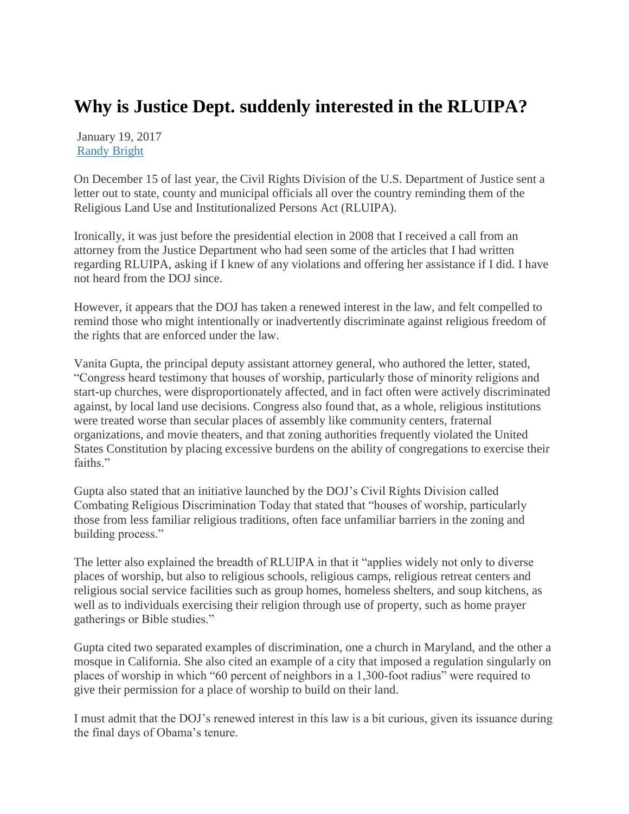## **Why is Justice Dept. suddenly interested in the RLUIPA?**

January 19, 2017 [Randy Bright](http://tulsabeacon.com/author/randy-bright/)

On December 15 of last year, the Civil Rights Division of the U.S. Department of Justice sent a letter out to state, county and municipal officials all over the country reminding them of the Religious Land Use and Institutionalized Persons Act (RLUIPA).

Ironically, it was just before the presidential election in 2008 that I received a call from an attorney from the Justice Department who had seen some of the articles that I had written regarding RLUIPA, asking if I knew of any violations and offering her assistance if I did. I have not heard from the DOJ since.

However, it appears that the DOJ has taken a renewed interest in the law, and felt compelled to remind those who might intentionally or inadvertently discriminate against religious freedom of the rights that are enforced under the law.

Vanita Gupta, the principal deputy assistant attorney general, who authored the letter, stated, "Congress heard testimony that houses of worship, particularly those of minority religions and start-up churches, were disproportionately affected, and in fact often were actively discriminated against, by local land use decisions. Congress also found that, as a whole, religious institutions were treated worse than secular places of assembly like community centers, fraternal organizations, and movie theaters, and that zoning authorities frequently violated the United States Constitution by placing excessive burdens on the ability of congregations to exercise their faiths."

Gupta also stated that an initiative launched by the DOJ's Civil Rights Division called Combating Religious Discrimination Today that stated that "houses of worship, particularly those from less familiar religious traditions, often face unfamiliar barriers in the zoning and building process."

The letter also explained the breadth of RLUIPA in that it "applies widely not only to diverse places of worship, but also to religious schools, religious camps, religious retreat centers and religious social service facilities such as group homes, homeless shelters, and soup kitchens, as well as to individuals exercising their religion through use of property, such as home prayer gatherings or Bible studies."

Gupta cited two separated examples of discrimination, one a church in Maryland, and the other a mosque in California. She also cited an example of a city that imposed a regulation singularly on places of worship in which "60 percent of neighbors in a 1,300-foot radius" were required to give their permission for a place of worship to build on their land.

I must admit that the DOJ's renewed interest in this law is a bit curious, given its issuance during the final days of Obama's tenure.